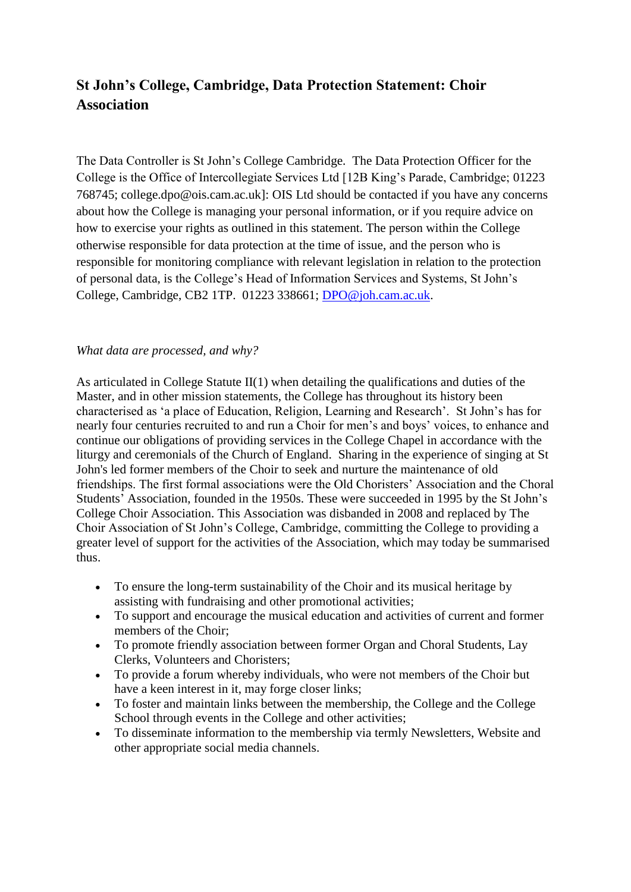# **St John's College, Cambridge, Data Protection Statement: Choir Association**

The Data Controller is St John's College Cambridge. The Data Protection Officer for the College is the Office of Intercollegiate Services Ltd [12B King's Parade, Cambridge; 01223 768745; college.dpo@ois.cam.ac.uk]: OIS Ltd should be contacted if you have any concerns about how the College is managing your personal information, or if you require advice on how to exercise your rights as outlined in this statement. The person within the College otherwise responsible for data protection at the time of issue, and the person who is responsible for monitoring compliance with relevant legislation in relation to the protection of personal data, is the College's Head of Information Services and Systems, St John's College, Cambridge, CB2 1TP. 01223 338661; [DPO@joh.cam.ac.uk.](mailto:DPO@joh.cam.ac.uk)

#### *What data are processed, and why?*

As articulated in College Statute  $II(1)$  when detailing the qualifications and duties of the Master, and in other mission statements, the College has throughout its history been characterised as 'a place of Education, Religion, Learning and Research'. St John's has for nearly four centuries recruited to and run a Choir for men's and boys' voices, to enhance and continue our obligations of providing services in the College Chapel in accordance with the liturgy and ceremonials of the Church of England. Sharing in the experience of singing at St John's led former members of the Choir to seek and nurture the maintenance of old friendships. The first formal associations were the Old Choristers' Association and the Choral Students' Association, founded in the 1950s. These were succeeded in 1995 by the St John's College Choir Association. This Association was disbanded in 2008 and replaced by The Choir Association of St John's College, Cambridge, committing the College to providing a greater level of support for the activities of the Association, which may today be summarised thus.

- To ensure the long-term sustainability of the Choir and its musical heritage by assisting with fundraising and other promotional activities;
- To support and encourage the musical education and activities of current and former members of the Choir;
- To promote friendly association between former Organ and Choral Students, Lay Clerks, Volunteers and Choristers;
- To provide a forum whereby individuals, who were not members of the Choir but have a keen interest in it, may forge closer links;
- To foster and maintain links between the membership, the College and the College School through events in the College and other activities;
- To disseminate information to the membership via termly Newsletters, Website and other appropriate social media channels.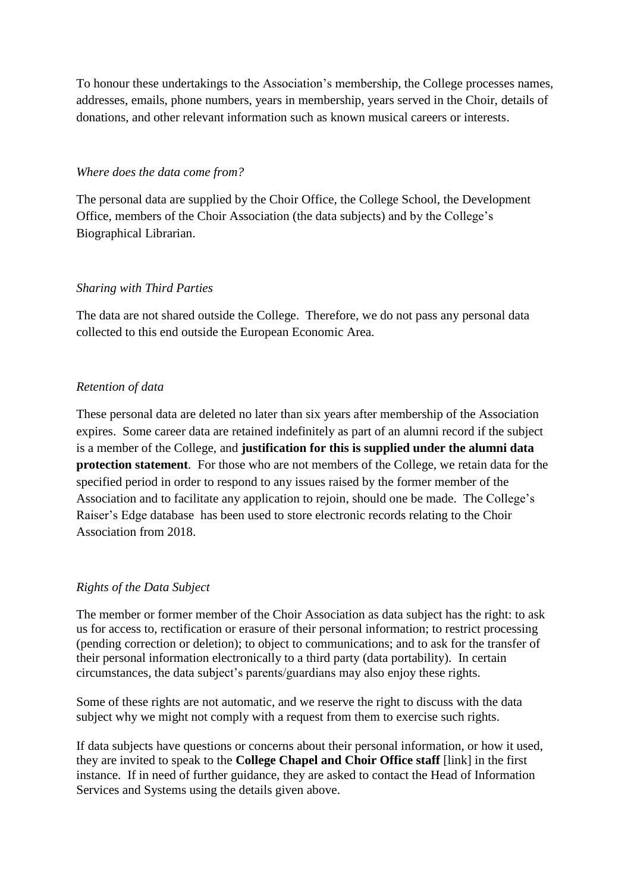To honour these undertakings to the Association's membership, the College processes names, addresses, emails, phone numbers, years in membership, years served in the Choir, details of donations, and other relevant information such as known musical careers or interests.

#### *Where does the data come from?*

The personal data are supplied by the Choir Office, the College School, the Development Office, members of the Choir Association (the data subjects) and by the College's Biographical Librarian.

## *Sharing with Third Parties*

The data are not shared outside the College. Therefore, we do not pass any personal data collected to this end outside the European Economic Area.

## *Retention of data*

These personal data are deleted no later than six years after membership of the Association expires. Some career data are retained indefinitely as part of an alumni record if the subject is a member of the College, and **justification for this is supplied under the alumni data protection statement**. For those who are not members of the College, we retain data for the specified period in order to respond to any issues raised by the former member of the Association and to facilitate any application to rejoin, should one be made. The College's Raiser's Edge database has been used to store electronic records relating to the Choir Association from 2018.

## *Rights of the Data Subject*

The member or former member of the Choir Association as data subject has the right: to ask us for access to, rectification or erasure of their personal information; to restrict processing (pending correction or deletion); to object to communications; and to ask for the transfer of their personal information electronically to a third party (data portability). In certain circumstances, the data subject's parents/guardians may also enjoy these rights.

Some of these rights are not automatic, and we reserve the right to discuss with the data subject why we might not comply with a request from them to exercise such rights.

If data subjects have questions or concerns about their personal information, or how it used, they are invited to speak to the **College Chapel and Choir Office staff** [link] in the first instance. If in need of further guidance, they are asked to contact the Head of Information Services and Systems using the details given above.